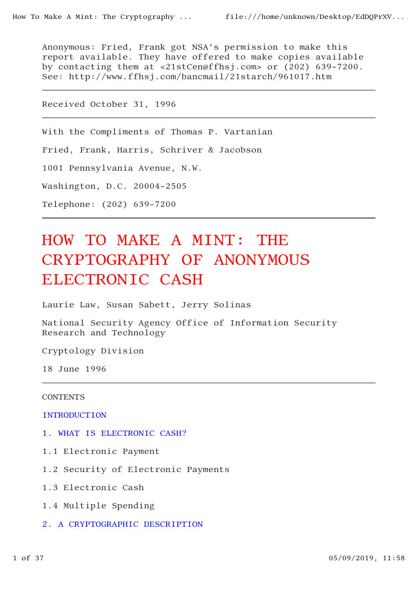Anonymous: Fried, Frank got NSA's permission to make this report available. They have offered to make copies available by contacting them at <21stCen@ffhsj.com> or (202) 639-7200. See: http://www.ffhsj.com/bancmail/21starch/961017.htm

Received October 31, 1996

With the Compliments of Thomas P. Vartanian

Fried, Frank, Harris, Schriver & Jacobson

1001 Pennsylvania Avenue, N.W.

Washington, D.C. 20004-2505

Telephone: (202) 639-7200

# HOW TO MAKE A MINT: THE CRYPTOGRAPHY OF ANONYMOUS ELECTRONIC CASH

Laurie Law, Susan Sabett, Jerry Solinas

National Security Agency Office of Information Security Research and Technology

Cryptology Division

18 June 1996

### **CONTENTS**

**INTRODUCTION** 

- 1. WHAT IS ELECTRONIC CASH?
- 1.1 Electronic Payment
- 1.2 Security of Electronic Payments
- 1.3 Electronic Cash
- 1.4 Multiple Spending
- 2. A CRYPTOGRAPHIC DESCRIPTION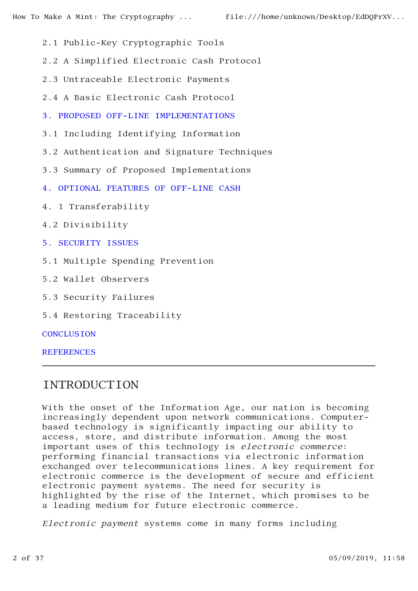- 2.1 Public-Key Cryptographic Tools
- 2.2 A Simplified Electronic Cash Protocol
- 2.3 Untraceable Electronic Payments
- 2.4 A Basic Electronic Cash Protocol
- 3. PROPOSED OFF-LINE IMPLEMENTATIONS
- 3.1 Including Identifying Information
- 3.2 Authentication and Signature Techniques
- 3.3 Summary of Proposed Implementations
- 4. OPTIONAL FEATURES OF OFF-LINE CASH
- 4. 1 Transferability
- 4.2 Divisibility
- 5. SECURITY ISSUES
- 5.1 Multiple Spending Prevention
- 5.2 Wallet Observers
- 5.3 Security Failures
- 5.4 Restoring Traceability

**CONCLUSION** 

**REFERENCES** 

# INTRODUCTION

With the onset of the Information Age, our nation is becoming increasingly dependent upon network communications. Computerbased technology is significantly impacting our ability to access, store, and distribute information. Among the most important uses of this technology is electronic commerce: performing financial transactions via electronic information exchanged over telecommunications lines. A key requirement for electronic commerce is the development of secure and efficient electronic payment systems. The need for security is highlighted by the rise of the Internet, which promises to be a leading medium for future electronic commerce.

Electronic payment systems come in many forms including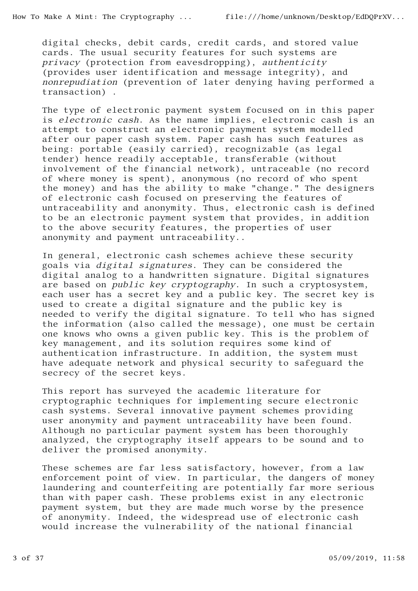digital checks, debit cards, credit cards, and stored value cards. The usual security features for such systems are privacy (protection from eavesdropping), authenticity (provides user identification and message integrity), and nonrepudiation (prevention of later denying having performed a transaction) .

The type of electronic payment system focused on in this paper is electronic cash. As the name implies, electronic cash is an attempt to construct an electronic payment system modelled after our paper cash system. Paper cash has such features as being: portable (easily carried), recognizable (as legal tender) hence readily acceptable, transferable (without involvement of the financial network), untraceable (no record of where money is spent), anonymous (no record of who spent the money) and has the ability to make "change." The designers of electronic cash focused on preserving the features of untraceability and anonymity. Thus, electronic cash is defined to be an electronic payment system that provides, in addition to the above security features, the properties of user anonymity and payment untraceability..

In general, electronic cash schemes achieve these security goals via digital signatures. They can be considered the digital analog to a handwritten signature. Digital signatures are based on public key cryptography. In such a cryptosystem, each user has a secret key and a public key. The secret key is used to create a digital signature and the public key is needed to verify the digital signature. To tell who has signed the information (also called the message), one must be certain one knows who owns a given public key. This is the problem of key management, and its solution requires some kind of authentication infrastructure. In addition, the system must have adequate network and physical security to safeguard the secrecy of the secret keys.

This report has surveyed the academic literature for cryptographic techniques for implementing secure electronic cash systems. Several innovative payment schemes providing user anonymity and payment untraceability have been found. Although no particular payment system has been thoroughly analyzed, the cryptography itself appears to be sound and to deliver the promised anonymity.

These schemes are far less satisfactory, however, from a law enforcement point of view. In particular, the dangers of money laundering and counterfeiting are potentially far more serious than with paper cash. These problems exist in any electronic payment system, but they are made much worse by the presence of anonymity. Indeed, the widespread use of electronic cash would increase the vulnerability of the national financial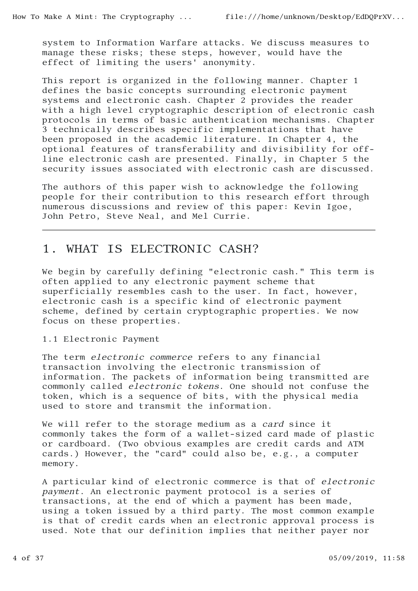system to Information Warfare attacks. We discuss measures to manage these risks; these steps, however, would have the effect of limiting the users' anonymity.

This report is organized in the following manner. Chapter 1 defines the basic concepts surrounding electronic payment systems and electronic cash. Chapter 2 provides the reader with a high level cryptographic description of electronic cash protocols in terms of basic authentication mechanisms. Chapter 3 technically describes specific implementations that have been proposed in the academic literature. In Chapter 4, the optional features of transferability and divisibility for offline electronic cash are presented. Finally, in Chapter 5 the security issues associated with electronic cash are discussed.

The authors of this paper wish to acknowledge the following people for their contribution to this research effort through numerous discussions and review of this paper: Kevin Igoe, John Petro, Steve Neal, and Mel Currie.

# 1. WHAT IS ELECTRONIC CASH?

We begin by carefully defining "electronic cash." This term is often applied to any electronic payment scheme that superficially resembles cash to the user. In fact, however, electronic cash is a specific kind of electronic payment scheme, defined by certain cryptographic properties. We now focus on these properties.

### 1.1 Electronic Payment

The term electronic commerce refers to any financial transaction involving the electronic transmission of information. The packets of information being transmitted are commonly called electronic tokens. One should not confuse the token, which is a sequence of bits, with the physical media used to store and transmit the information.

We will refer to the storage medium as a card since it commonly takes the form of a wallet-sized card made of plastic or cardboard. (Two obvious examples are credit cards and ATM cards.) However, the "card" could also be, e.g., a computer memory.

A particular kind of electronic commerce is that of electronic payment. An electronic payment protocol is a series of transactions, at the end of which a payment has been made, using a token issued by a third party. The most common example is that of credit cards when an electronic approval process is used. Note that our definition implies that neither payer nor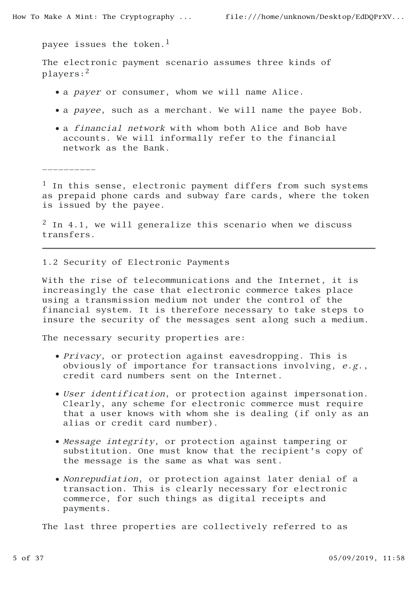$\mathcal{L}_\text{max}$ 

payee issues the token.<sup>1</sup>

The electronic payment scenario assumes three kinds of players:2

- a *payer* or consumer, whom we will name Alice.
- a payee, such as a merchant. We will name the payee Bob.
- a *financial network* with whom both Alice and Bob have accounts. We will informally refer to the financial network as the Bank.

<sup>1</sup> In this sense, electronic payment differs from such systems as prepaid phone cards and subway fare cards, where the token is issued by the payee.

 $2$  In 4.1, we will generalize this scenario when we discuss transfers.

1.2 Security of Electronic Payments

With the rise of telecommunications and the Internet, it is increasingly the case that electronic commerce takes place using a transmission medium not under the control of the financial system. It is therefore necessary to take steps to insure the security of the messages sent along such a medium.

The necessary security properties are:

- Privacy, or protection against eavesdropping. This is obviously of importance for transactions involving, e.g., credit card numbers sent on the Internet.
- User identification, or protection against impersonation. Clearly, any scheme for electronic commerce must require that a user knows with whom she is dealing (if only as an alias or credit card number).
- Message integrity, or protection against tampering or substitution. One must know that the recipient's copy of the message is the same as what was sent.
- Nonrepudiation, or protection against later denial of a transaction. This is clearly necessary for electronic commerce, for such things as digital receipts and payments.

The last three properties are collectively referred to as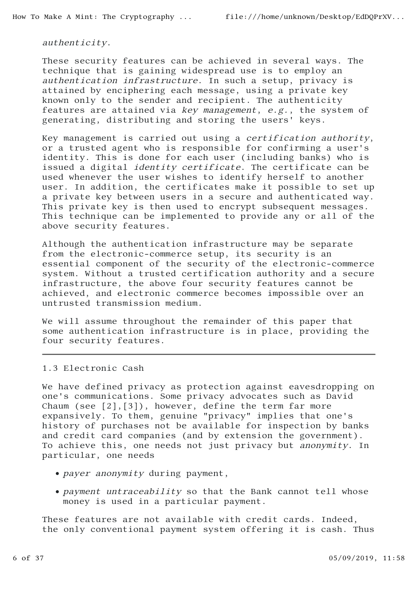authenticity.

These security features can be achieved in several ways. The technique that is gaining widespread use is to employ an authentication infrastructure. In such a setup, privacy is attained by enciphering each message, using a private key known only to the sender and recipient. The authenticity features are attained via key management, e.g., the system of generating, distributing and storing the users' keys.

Key management is carried out using a certification authority, or a trusted agent who is responsible for confirming a user's identity. This is done for each user (including banks) who is issued a digital identity certificate. The certificate can be used whenever the user wishes to identify herself to another user. In addition, the certificates make it possible to set up a private key between users in a secure and authenticated way. This private key is then used to encrypt subsequent messages. This technique can be implemented to provide any or all of the above security features.

Although the authentication infrastructure may be separate from the electronic-commerce setup, its security is an essential component of the security of the electronic-commerce system. Without a trusted certification authority and a secure infrastructure, the above four security features cannot be achieved, and electronic commerce becomes impossible over an untrusted transmission medium.

We will assume throughout the remainder of this paper that some authentication infrastructure is in place, providing the four security features.

### 1.3 Electronic Cash

We have defined privacy as protection against eavesdropping on one's communications. Some privacy advocates such as David Chaum (see [2],[3]), however, define the term far more expansively. To them, genuine "privacy" implies that one's history of purchases not be available for inspection by banks and credit card companies (and by extension the government). To achieve this, one needs not just privacy but anonymity. In particular, one needs

- payer anonymity during payment,
- payment untraceability so that the Bank cannot tell whose money is used in a particular payment.

These features are not available with credit cards. Indeed, the only conventional payment system offering it is cash. Thus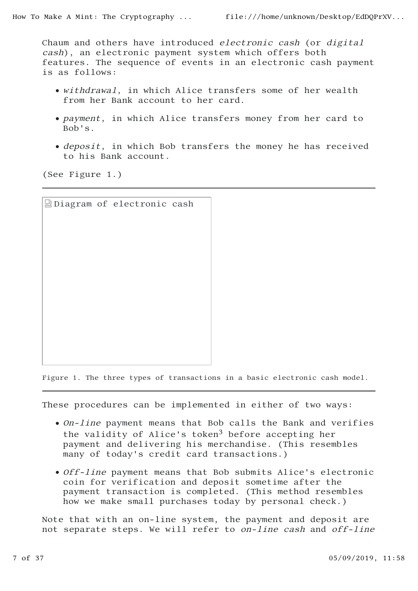Chaum and others have introduced electronic cash (or digital cash), an electronic payment system which offers both features. The sequence of events in an electronic cash payment is as follows:

- withdrawal, in which Alice transfers some of her wealth from her Bank account to her card.
- payment, in which Alice transfers money from her card to Bob's.
- deposit, in which Bob transfers the money he has received to his Bank account.

(See Figure 1.)

|  | Diagram of electronic cash |  |
|--|----------------------------|--|
|  |                            |  |
|  |                            |  |
|  |                            |  |
|  |                            |  |
|  |                            |  |
|  |                            |  |
|  |                            |  |
|  |                            |  |
|  |                            |  |
|  |                            |  |

Figure 1. The three types of transactions in a basic electronic cash model.

These procedures can be implemented in either of two ways:

- On-line payment means that Bob calls the Bank and verifies the validity of Alice's token<sup>3</sup> before accepting her payment and delivering his merchandise. (This resembles many of today's credit card transactions.)
- Off-line payment means that Bob submits Alice's electronic coin for verification and deposit sometime after the payment transaction is completed. (This method resembles how we make small purchases today by personal check.)

Note that with an on-line system, the payment and deposit are not separate steps. We will refer to on-line cash and off-line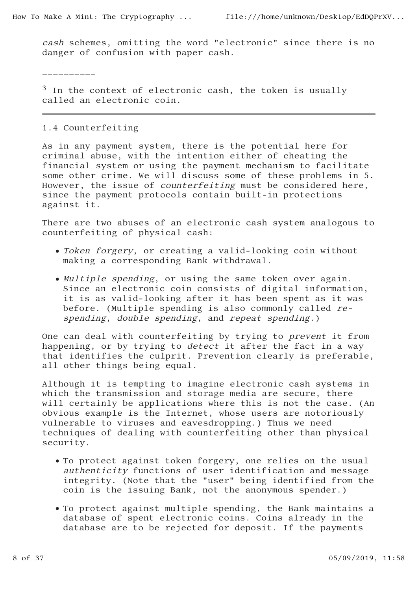cash schemes, omitting the word "electronic" since there is no danger of confusion with paper cash.

\_\_\_\_\_\_\_\_\_\_

 $3$  In the context of electronic cash, the token is usually called an electronic coin.

### 1.4 Counterfeiting

As in any payment system, there is the potential here for criminal abuse, with the intention either of cheating the financial system or using the payment mechanism to facilitate some other crime. We will discuss some of these problems in 5. However, the issue of counterfeiting must be considered here, since the payment protocols contain built-in protections against it.

There are two abuses of an electronic cash system analogous to counterfeiting of physical cash:

- Token forgery, or creating a valid-looking coin without making a corresponding Bank withdrawal.
- $\bullet$  Multiple spending, or using the same token over again. Since an electronic coin consists of digital information, it is as valid-looking after it has been spent as it was before. (Multiple spending is also commonly called respending, double spending, and repeat spending.)

One can deal with counterfeiting by trying to prevent it from happening, or by trying to detect it after the fact in a way that identifies the culprit. Prevention clearly is preferable, all other things being equal.

Although it is tempting to imagine electronic cash systems in which the transmission and storage media are secure, there will certainly be applications where this is not the case. (An obvious example is the Internet, whose users are notoriously vulnerable to viruses and eavesdropping.) Thus we need techniques of dealing with counterfeiting other than physical security.

- To protect against token forgery, one relies on the usual authenticity functions of user identification and message integrity. (Note that the "user" being identified from the coin is the issuing Bank, not the anonymous spender.)
- To protect against multiple spending, the Bank maintains a database of spent electronic coins. Coins already in the database are to be rejected for deposit. If the payments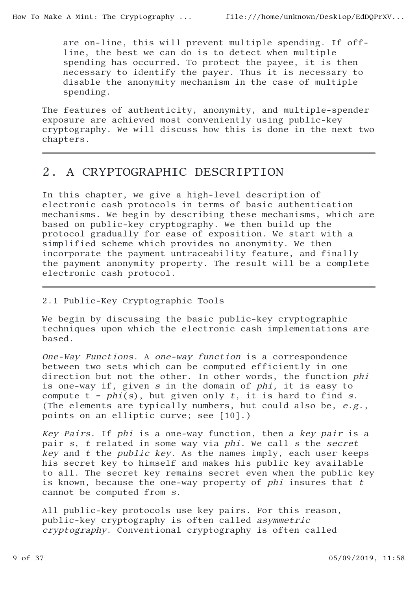are on-line, this will prevent multiple spending. If offline, the best we can do is to detect when multiple spending has occurred. To protect the payee, it is then necessary to identify the payer. Thus it is necessary to disable the anonymity mechanism in the case of multiple spending.

The features of authenticity, anonymity, and multiple-spender exposure are achieved most conveniently using public-key cryptography. We will discuss how this is done in the next two chapters.

# 2. A CRYPTOGRAPHIC DESCRIPTION

In this chapter, we give a high-level description of electronic cash protocols in terms of basic authentication mechanisms. We begin by describing these mechanisms, which are based on public-key cryptography. We then build up the protocol gradually for ease of exposition. We start with a simplified scheme which provides no anonymity. We then incorporate the payment untraceability feature, and finally the payment anonymity property. The result will be a complete electronic cash protocol.

### 2.1 Public-Key Cryptographic Tools

We begin by discussing the basic public-key cryptographic techniques upon which the electronic cash implementations are based.

One-Way Functions. A one-way function is a correspondence between two sets which can be computed efficiently in one direction but not the other. In other words, the function phi is one-way if, given s in the domain of phi, it is easy to compute  $t = phi(s)$ , but given only  $t$ , it is hard to find  $s$ . (The elements are typically numbers, but could also be, e.g., points on an elliptic curve; see [10].)

Key Pairs. If phi is a one-way function, then a key pair is a pair s, t related in some way via phi. We call s the secret key and t the public key. As the names imply, each user keeps his secret key to himself and makes his public key available to all. The secret key remains secret even when the public key is known, because the one-way property of  $phi$  insures that  $t$ cannot be computed from s.

All public-key protocols use key pairs. For this reason, public-key cryptography is often called asymmetric cryptography. Conventional cryptography is often called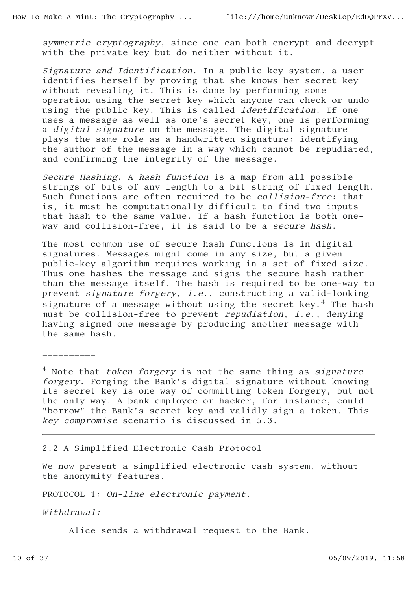symmetric cryptography, since one can both encrypt and decrypt with the private key but do neither without it.

Signature and Identification. In a public key system, a user identifies herself by proving that she knows her secret key without revealing it. This is done by performing some operation using the secret key which anyone can check or undo using the public key. This is called identification. If one uses a message as well as one's secret key, one is performing a digital signature on the message. The digital signature plays the same role as a handwritten signature: identifying the author of the message in a way which cannot be repudiated, and confirming the integrity of the message.

Secure Hashing. A hash function is a map from all possible strings of bits of any length to a bit string of fixed length. Such functions are often required to be collision-free: that is, it must be computationally difficult to find two inputs that hash to the same value. If a hash function is both oneway and collision-free, it is said to be a secure hash.

The most common use of secure hash functions is in digital signatures. Messages might come in any size, but a given public-key algorithm requires working in a set of fixed size. Thus one hashes the message and signs the secure hash rather than the message itself. The hash is required to be one-way to prevent signature forgery, i.e., constructing a valid-looking signature of a message without using the secret key.<sup>4</sup> The hash must be collision-free to prevent repudiation, i.e., denying having signed one message by producing another message with the same hash.

\_\_\_\_\_\_\_\_\_\_

 $4$  Note that token forgery is not the same thing as signature forgery. Forging the Bank's digital signature without knowing its secret key is one way of committing token forgery, but not the only way. A bank employee or hacker, for instance, could "borrow" the Bank's secret key and validly sign a token. This key compromise scenario is discussed in 5.3.

#### 2.2 A Simplified Electronic Cash Protocol

We now present a simplified electronic cash system, without the anonymity features.

PROTOCOL 1: On-line electronic payment.

Withdrawal:

Alice sends a withdrawal request to the Bank.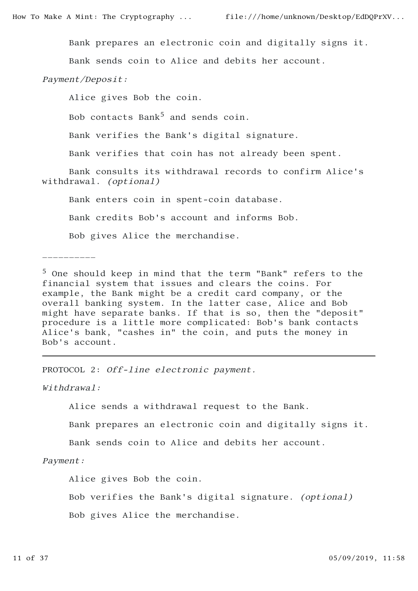Bank prepares an electronic coin and digitally signs it.

Bank sends coin to Alice and debits her account.

Payment/Deposit:

Alice gives Bob the coin.

Bob contacts Bank<sup>5</sup> and sends coin.

Bank verifies the Bank's digital signature.

Bank verifies that coin has not already been spent.

 Bank consults its withdrawal records to confirm Alice's withdrawal. (optional)

Bank enters coin in spent-coin database.

Bank credits Bob's account and informs Bob.

Bob gives Alice the merchandise.

\_\_\_\_\_\_\_\_\_\_

5 One should keep in mind that the term "Bank" refers to the financial system that issues and clears the coins. For example, the Bank might be a credit card company, or the overall banking system. In the latter case, Alice and Bob might have separate banks. If that is so, then the "deposit" procedure is a little more complicated: Bob's bank contacts Alice's bank, "cashes in" the coin, and puts the money in Bob's account.

PROTOCOL 2: Off-line electronic payment.

Withdrawal:

Alice sends a withdrawal request to the Bank.

Bank prepares an electronic coin and digitally signs it.

Bank sends coin to Alice and debits her account.

Payment:

Alice gives Bob the coin.

Bob verifies the Bank's digital signature. (optional)

Bob gives Alice the merchandise.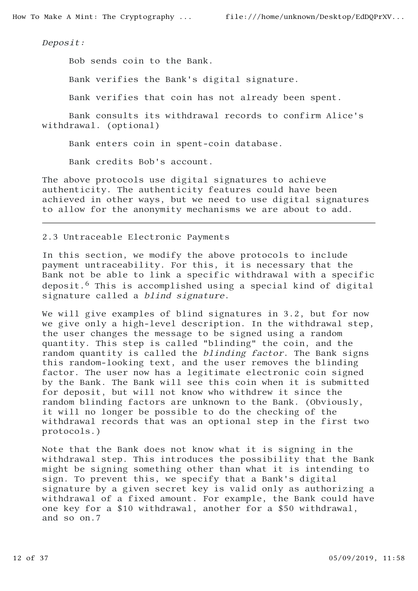Deposit:

Bob sends coin to the Bank.

Bank verifies the Bank's digital signature.

Bank verifies that coin has not already been spent.

 Bank consults its withdrawal records to confirm Alice's withdrawal. (optional)

Bank enters coin in spent-coin database.

Bank credits Bob's account.

The above protocols use digital signatures to achieve authenticity. The authenticity features could have been achieved in other ways, but we need to use digital signatures to allow for the anonymity mechanisms we are about to add.

#### 2.3 Untraceable Electronic Payments

In this section, we modify the above protocols to include payment untraceability. For this, it is necessary that the Bank not be able to link a specific withdrawal with a specific deposit.<sup>6</sup> This is accomplished using a special kind of digital signature called a *blind signature*.

We will give examples of blind signatures in 3.2, but for now we give only a high-level description. In the withdrawal step, the user changes the message to be signed using a random quantity. This step is called "blinding" the coin, and the random quantity is called the blinding factor. The Bank signs this random-looking text, and the user removes the blinding factor. The user now has a legitimate electronic coin signed by the Bank. The Bank will see this coin when it is submitted for deposit, but will not know who withdrew it since the random blinding factors are unknown to the Bank. (Obviously, it will no longer be possible to do the checking of the withdrawal records that was an optional step in the first two protocols.)

Note that the Bank does not know what it is signing in the withdrawal step. This introduces the possibility that the Bank might be signing something other than what it is intending to sign. To prevent this, we specify that a Bank's digital signature by a given secret key is valid only as authorizing a withdrawal of a fixed amount. For example, the Bank could have one key for a \$10 withdrawal, another for a \$50 withdrawal, and so on.7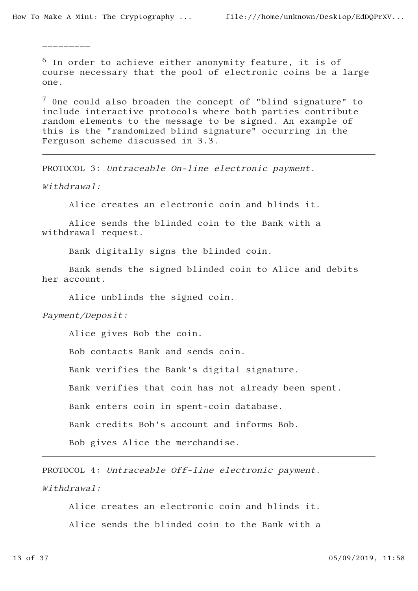\_\_\_\_\_\_\_\_\_

 $6$  In order to achieve either anonymity feature, it is of course necessary that the pool of electronic coins be a large one.

7 0ne could also broaden the concept of "blind signature" to include interactive protocols where both parties contribute random elements to the message to be signed. An example of this is the "randomized blind signature" occurring in the Ferguson scheme discussed in 3.3.

PROTOCOL 3: Untraceable On-line electronic payment.

Withdrawal:

Alice creates an electronic coin and blinds it.

 Alice sends the blinded coin to the Bank with a withdrawal request.

Bank digitally signs the blinded coin.

 Bank sends the signed blinded coin to Alice and debits her account.

Alice unblinds the signed coin.

Payment/Deposit:

Alice gives Bob the coin.

Bob contacts Bank and sends coin.

Bank verifies the Bank's digital signature.

Bank verifies that coin has not already been spent.

Bank enters coin in spent-coin database.

Bank credits Bob's account and informs Bob.

Bob gives Alice the merchandise.

PROTOCOL 4: Untraceable Off-line electronic payment. Withdrawal:

 Alice creates an electronic coin and blinds it. Alice sends the blinded coin to the Bank with a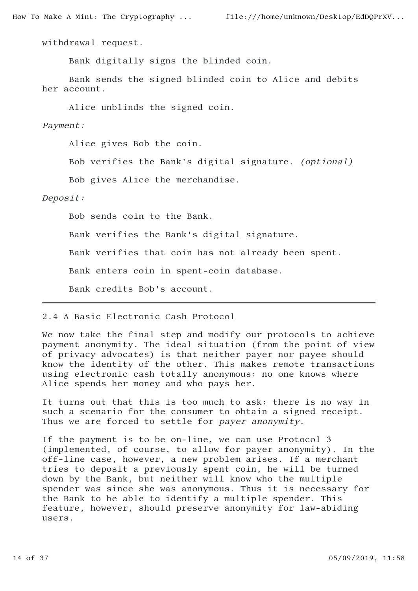withdrawal request.

Bank digitally signs the blinded coin.

 Bank sends the signed blinded coin to Alice and debits her account.

Alice unblinds the signed coin.

Payment:

Alice gives Bob the coin.

Bob verifies the Bank's digital signature. (optional)

Bob gives Alice the merchandise.

Deposit:

Bob sends coin to the Bank.

Bank verifies the Bank's digital signature.

Bank verifies that coin has not already been spent.

Bank enters coin in spent-coin database.

Bank credits Bob's account.

#### 2.4 A Basic Electronic Cash Protocol

We now take the final step and modify our protocols to achieve payment anonymity. The ideal situation (from the point of view of privacy advocates) is that neither payer nor payee should know the identity of the other. This makes remote transactions using electronic cash totally anonymous: no one knows where Alice spends her money and who pays her.

It turns out that this is too much to ask: there is no way in such a scenario for the consumer to obtain a signed receipt. Thus we are forced to settle for payer anonymity.

If the payment is to be on-line, we can use Protocol 3 (implemented, of course, to allow for payer anonymity). In the off-line case, however, a new problem arises. If a merchant tries to deposit a previously spent coin, he will be turned down by the Bank, but neither will know who the multiple spender was since she was anonymous. Thus it is necessary for the Bank to be able to identify a multiple spender. This feature, however, should preserve anonymity for law-abiding users.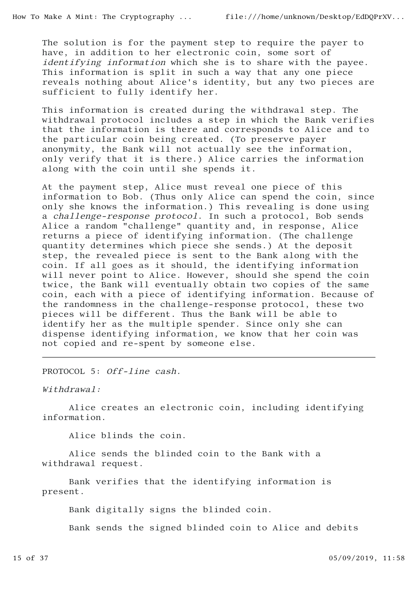The solution is for the payment step to require the payer to have, in addition to her electronic coin, some sort of identifying information which she is to share with the payee. This information is split in such a way that any one piece reveals nothing about Alice's identity, but any two pieces are sufficient to fully identify her.

This information is created during the withdrawal step. The withdrawal protocol includes a step in which the Bank verifies that the information is there and corresponds to Alice and to the particular coin being created. (To preserve payer anonymity, the Bank will not actually see the information, only verify that it is there.) Alice carries the information along with the coin until she spends it.

At the payment step, Alice must reveal one piece of this information to Bob. (Thus only Alice can spend the coin, since only she knows the information.) This revealing is done using a challenge-response protocol. In such a protocol, Bob sends Alice a random "challenge" quantity and, in response, Alice returns a piece of identifying information. (The challenge quantity determines which piece she sends.) At the deposit step, the revealed piece is sent to the Bank along with the coin. If all goes as it should, the identifying information will never point to Alice. However, should she spend the coin twice, the Bank will eventually obtain two copies of the same coin, each with a piece of identifying information. Because of the randomness in the challenge-response protocol, these two pieces will be different. Thus the Bank will be able to identify her as the multiple spender. Since only she can dispense identifying information, we know that her coin was not copied and re-spent by someone else.

PROTOCOL 5: Off-line cash.

Withdrawal:

 Alice creates an electronic coin, including identifying information.

Alice blinds the coin.

 Alice sends the blinded coin to the Bank with a withdrawal request.

 Bank verifies that the identifying information is present.

Bank digitally signs the blinded coin.

Bank sends the signed blinded coin to Alice and debits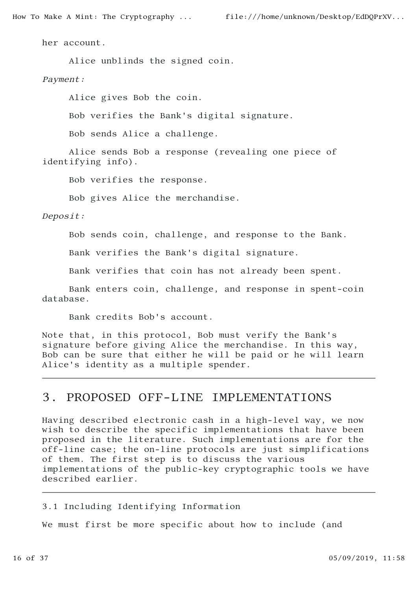How To Make A Mint: The Cryptography ... file:///home/unknown/Desktop/EdDQPrXV...

her account.

Alice unblinds the signed coin.

Payment:

Alice gives Bob the coin.

Bob verifies the Bank's digital signature.

Bob sends Alice a challenge.

 Alice sends Bob a response (revealing one piece of identifying info).

Bob verifies the response.

Bob gives Alice the merchandise.

Deposit:

Bob sends coin, challenge, and response to the Bank.

Bank verifies the Bank's digital signature.

Bank verifies that coin has not already been spent.

 Bank enters coin, challenge, and response in spent-coin database.

Bank credits Bob's account.

Note that, in this protocol, Bob must verify the Bank's signature before giving Alice the merchandise. In this way, Bob can be sure that either he will be paid or he will learn Alice's identity as a multiple spender.

# 3. PROPOSED OFF-LINE IMPLEMENTATIONS

Having described electronic cash in a high-level way, we now wish to describe the specific implementations that have been proposed in the literature. Such implementations are for the off-line case; the on-line protocols are just simplifications of them. The first step is to discuss the various implementations of the public-key cryptographic tools we have described earlier.

3.1 Including Identifying Information

We must first be more specific about how to include (and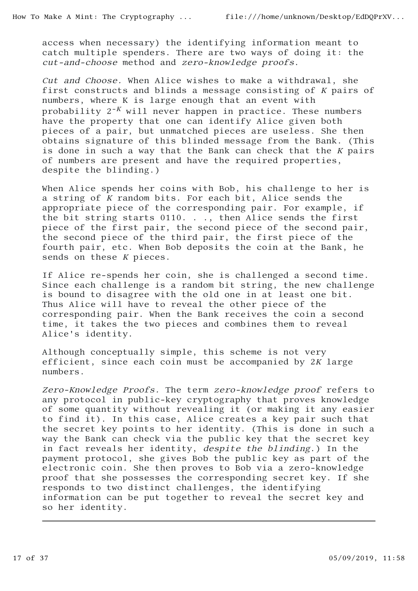access when necessary) the identifying information meant to catch multiple spenders. There are two ways of doing it: the cut-and-choose method and zero-knowledge proofs.

Cut and Choose. When Alice wishes to make a withdrawal, she first constructs and blinds a message consisting of K pairs of numbers, where K is large enough that an event with probability  $2^{-K}$  will never happen in practice. These numbers have the property that one can identify Alice given both pieces of a pair, but unmatched pieces are useless. She then obtains signature of this blinded message from the Bank. (This is done in such a way that the Bank can check that the  $K$  pairs of numbers are present and have the required properties, despite the blinding.)

When Alice spends her coins with Bob, his challenge to her is a string of K random bits. For each bit, Alice sends the appropriate piece of the corresponding pair. For example, if the bit string starts 0110. . ., then Alice sends the first piece of the first pair, the second piece of the second pair, the second piece of the third pair, the first piece of the fourth pair, etc. When Bob deposits the coin at the Bank, he sends on these  $K$  pieces.

If Alice re-spends her coin, she is challenged a second time. Since each challenge is a random bit string, the new challenge is bound to disagree with the old one in at least one bit. Thus Alice will have to reveal the other piece of the corresponding pair. When the Bank receives the coin a second time, it takes the two pieces and combines them to reveal Alice's identity.

Although conceptually simple, this scheme is not very efficient, since each coin must be accompanied by 2K large numbers.

Zero-Knowledge Proofs. The term zero-knowledge proof refers to any protocol in public-key cryptography that proves knowledge of some quantity without revealing it (or making it any easier to find it). In this case, Alice creates a key pair such that the secret key points to her identity. (This is done in such a way the Bank can check via the public key that the secret key in fact reveals her identity, despite the blinding.) In the payment protocol, she gives Bob the public key as part of the electronic coin. She then proves to Bob via a zero-knowledge proof that she possesses the corresponding secret key. If she responds to two distinct challenges, the identifying information can be put together to reveal the secret key and so her identity.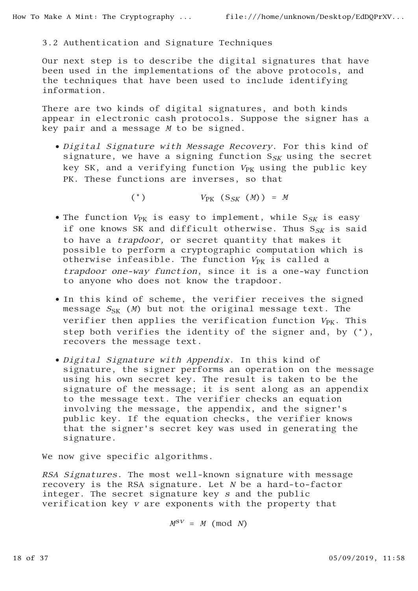### 3.2 Authentication and Signature Techniques

Our next step is to describe the digital signatures that have been used in the implementations of the above protocols, and the techniques that have been used to include identifying information.

There are two kinds of digital signatures, and both kinds appear in electronic cash protocols. Suppose the signer has a key pair and a message M to be signed.

Digital Signature with Message Recovery. For this kind of signature, we have a signing function  $S_{SK}$  using the secret key SK, and a verifying function  $V_{PK}$  using the public key PK. These functions are inverses, so that

(\*)  $V_{\text{PK}}(S_{SK} (M)) = M$ 

- The function  $V_{PK}$  is easy to implement, while  $S_{SK}$  is easy if one knows SK and difficult otherwise. Thus  $S_{SK}$  is said to have a trapdoor, or secret quantity that makes it possible to perform a cryptographic computation which is otherwise infeasible. The function  $V_{PK}$  is called a trapdoor one-way function, since it is a one-way function to anyone who does not know the trapdoor.
- In this kind of scheme, the verifier receives the signed message  $S_{SK}$  (*M*) but not the original message text. The verifier then applies the verification function  $V_{PK}$ . This step both verifies the identity of the signer and, by (\*), recovers the message text.
- Digital Signature with Appendix. In this kind of signature, the signer performs an operation on the message using his own secret key. The result is taken to be the signature of the message; it is sent along as an appendix to the message text. The verifier checks an equation involving the message, the appendix, and the signer's public key. If the equation checks, the verifier knows that the signer's secret key was used in generating the signature.

We now give specific algorithms.

RSA Signatures. The most well-known signature with message recovery is the RSA signature. Let  $N$  be a hard-to-factor integer. The secret signature key s and the public verification key v are exponents with the property that

 $M^{SV} = M \pmod{N}$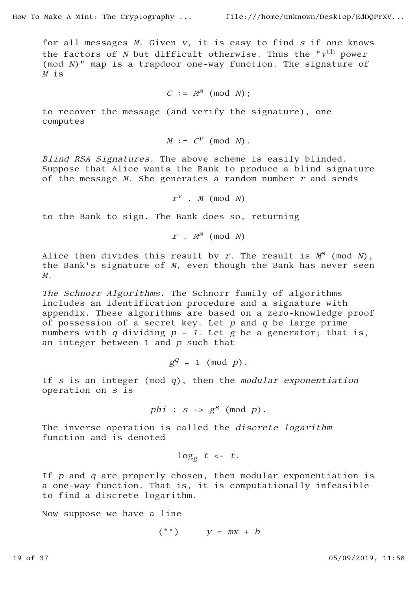for all messages  $M$ . Given  $v$ , it is easy to find  $s$  if one knows the factors of N but difficult otherwise. Thus the " $v<sup>th</sup>$  power (mod N)" map is a trapdoor one-way function. The signature of  $M$  is

$$
C := M^S \pmod{N};
$$

to recover the message (and verify the signature), one computes

$$
M := C^V \pmod{N}.
$$

Blind RSA Signatures. The above scheme is easily blinded. Suppose that Alice wants the Bank to produce a blind signature of the message  $M$ . She generates a random number  $r$  and sends

 $r^V$  . M (mod N)

to the Bank to sign. The Bank does so, returning

$$
r \cdot M^S \pmod{N}
$$

Alice then divides this result by r. The result is  $M^S$  (mod N), the Bank's signature of M, even though the Bank has never seen <sup>M</sup>.

The Schnorr Algorithms. The Schnorr family of algorithms includes an identification procedure and a signature with appendix. These algorithms are based on a zero-knowledge proof of possession of a secret key. Let  $p$  and  $q$  be large prime numbers with q dividing  $p - 1$ . Let g be a generator; that is, an integer between  $1$  and  $p$  such that

$$
g^q = 1 \pmod{p}.
$$

If s is an integer (mod  $q$ ), then the modular exponentiation operation on s is

$$
phi: s \rightarrow g^s \pmod{p}.
$$

The inverse operation is called the *discrete logarithm* function and is denoted

 $\log_g t \leq t$ .

If  $p$  and  $q$  are properly chosen, then modular exponentiation is a one-way function. That is, it is computationally infeasible to find a discrete logarithm.

Now suppose we have a line

$$
(**) \qquad y = mx + b
$$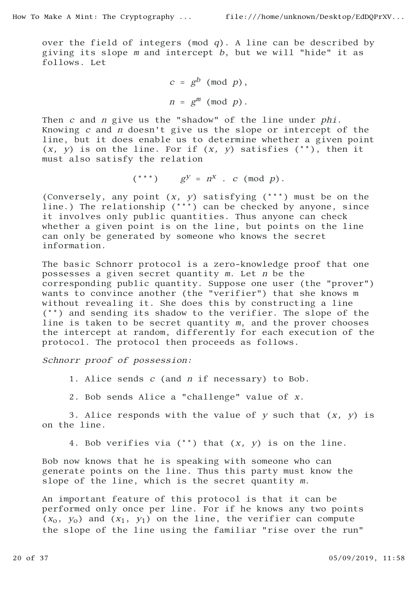over the field of integers (mod  $q$ ). A line can be described by giving its slope  $m$  and intercept  $b$ , but we will "hide" it as follows. Let

$$
c = gb \pmod{p},
$$

$$
n = gm \pmod{p}.
$$

Then c and n give us the "shadow" of the line under phi. Knowing c and n doesn't give us the slope or intercept of the line, but it does enable us to determine whether a given point  $(x, y)$  is on the line. For if  $(x, y)$  satisfies  $(*^*)$ , then it must also satisfy the relation

$$
(***) \qquad g^y = n^x . c (mod p).
$$

(Conversely, any point  $(x, y)$  satisfying  $(**)$  must be on the line.) The relationship (\*\*\*) can be checked by anyone, since it involves only public quantities. Thus anyone can check whether a given point is on the line, but points on the line can only be generated by someone who knows the secret information.

The basic Schnorr protocol is a zero-knowledge proof that one possesses a given secret quantity m. Let n be the corresponding public quantity. Suppose one user (the "prover") wants to convince another (the "verifier") that she knows m without revealing it. She does this by constructing a line (\*\*) and sending its shadow to the verifier. The slope of the line is taken to be secret quantity m, and the prover chooses the intercept at random, differently for each execution of the protocol. The protocol then proceeds as follows.

Schnorr proof of possession:

1. Alice sends c (and n if necessary) to Bob.

2. Bob sends Alice a "challenge" value of x.

3. Alice responds with the value of  $y$  such that  $(x, y)$  is on the line.

4. Bob verifies via  $(**)$  that  $(x, y)$  is on the line.

Bob now knows that he is speaking with someone who can generate points on the line. Thus this party must know the slope of the line, which is the secret quantity m.

An important feature of this protocol is that it can be performed only once per line. For if he knows any two points  $(x_0, y_0)$  and  $(x_1, y_1)$  on the line, the verifier can compute the slope of the line using the familiar "rise over the run"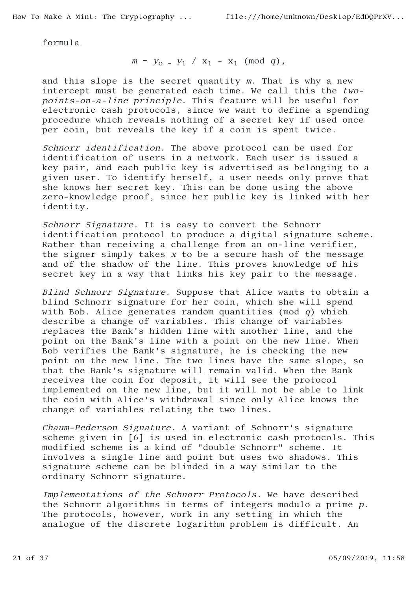formula

$$
m = y_0 - y_1 / x_1 - x_1 \pmod{q}
$$
,

and this slope is the secret quantity m. That is why a new intercept must be generated each time. We call this the twopoints-on-a-line principle. This feature will be useful for electronic cash protocols, since we want to define a spending procedure which reveals nothing of a secret key if used once per coin, but reveals the key if a coin is spent twice.

Schnorr identification. The above protocol can be used for identification of users in a network. Each user is issued a key pair, and each public key is advertised as belonging to a given user. To identify herself, a user needs only prove that she knows her secret key. This can be done using the above zero-knowledge proof, since her public key is linked with her identity.

Schnorr Signature. It is easy to convert the Schnorr identification protocol to produce a digital signature scheme. Rather than receiving a challenge from an on-line verifier, the signer simply takes x to be a secure hash of the message and of the shadow of the line. This proves knowledge of his secret key in a way that links his key pair to the message.

Blind Schnorr Signature. Suppose that Alice wants to obtain a blind Schnorr signature for her coin, which she will spend with Bob. Alice generates random quantities (mod  $q$ ) which describe a change of variables. This change of variables replaces the Bank's hidden line with another line, and the point on the Bank's line with a point on the new line. When Bob verifies the Bank's signature, he is checking the new point on the new line. The two lines have the same slope, so that the Bank's signature will remain valid. When the Bank receives the coin for deposit, it will see the protocol implemented on the new line, but it will not be able to link the coin with Alice's withdrawal since only Alice knows the change of variables relating the two lines.

Chaum-Pederson Signature. A variant of Schnorr's signature scheme given in [6] is used in electronic cash protocols. This modified scheme is a kind of "double Schnorr" scheme. It involves a single line and point but uses two shadows. This signature scheme can be blinded in a way similar to the ordinary Schnorr signature.

Implementations of the Schnorr Protocols. We have described the Schnorr algorithms in terms of integers modulo a prime p. The protocols, however, work in any setting in which the analogue of the discrete logarithm problem is difficult. An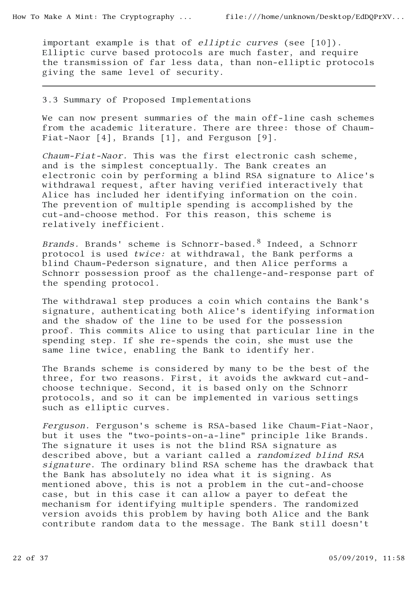important example is that of elliptic curves (see [10]). Elliptic curve based protocols are much faster, and require the transmission of far less data, than non-elliptic protocols giving the same level of security.

#### 3.3 Summary of Proposed Implementations

We can now present summaries of the main off-line cash schemes from the academic literature. There are three: those of Chaum-Fiat-Naor [4], Brands [1], and Ferguson [9].

Chaum-Fiat-Naor. This was the first electronic cash scheme, and is the simplest conceptually. The Bank creates an electronic coin by performing a blind RSA signature to Alice's withdrawal request, after having verified interactively that Alice has included her identifying information on the coin. The prevention of multiple spending is accomplished by the cut-and-choose method. For this reason, this scheme is relatively inefficient.

Brands. Brands' scheme is Schnorr-based.<sup>8</sup> Indeed, a Schnorr protocol is used twice: at withdrawal, the Bank performs a blind Chaum-Pederson signature, and then Alice performs a Schnorr possession proof as the challenge-and-response part of the spending protocol.

The withdrawal step produces a coin which contains the Bank's signature, authenticating both Alice's identifying information and the shadow of the line to be used for the possession proof. This commits Alice to using that particular line in the spending step. If she re-spends the coin, she must use the same line twice, enabling the Bank to identify her.

The Brands scheme is considered by many to be the best of the three, for two reasons. First, it avoids the awkward cut-andchoose technique. Second, it is based only on the Schnorr protocols, and so it can be implemented in various settings such as elliptic curves.

Ferguson. Ferguson's scheme is RSA-based like Chaum-Fiat-Naor, but it uses the "two-points-on-a-line" principle like Brands. The signature it uses is not the blind RSA signature as described above, but a variant called a randomized blind RSA signature. The ordinary blind RSA scheme has the drawback that the Bank has absolutely no idea what it is signing. As mentioned above, this is not a problem in the cut-and-choose case, but in this case it can allow a payer to defeat the mechanism for identifying multiple spenders. The randomized version avoids this problem by having both Alice and the Bank contribute random data to the message. The Bank still doesn't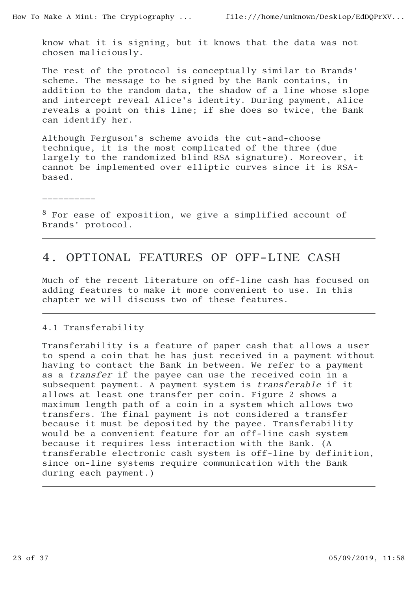know what it is signing, but it knows that the data was not chosen maliciously.

The rest of the protocol is conceptually similar to Brands' scheme. The message to be signed by the Bank contains, in addition to the random data, the shadow of a line whose slope and intercept reveal Alice's identity. During payment, Alice reveals a point on this line; if she does so twice, the Bank can identify her.

Although Ferguson's scheme avoids the cut-and-choose technique, it is the most complicated of the three (due largely to the randomized blind RSA signature). Moreover, it cannot be implemented over elliptic curves since it is RSAbased.

 $\mathcal{L}_\text{max}$ 

<sup>8</sup> For ease of exposition, we give a simplified account of Brands' protocol.

# 4. OPTIONAL FEATURES OF OFF-LINE CASH

Much of the recent literature on off-line cash has focused on adding features to make it more convenient to use. In this chapter we will discuss two of these features.

#### 4.1 Transferability

Transferability is a feature of paper cash that allows a user to spend a coin that he has just received in a payment without having to contact the Bank in between. We refer to a payment as a transfer if the payee can use the received coin in a subsequent payment. A payment system is transferable if it allows at least one transfer per coin. Figure 2 shows a maximum length path of a coin in a system which allows two transfers. The final payment is not considered a transfer because it must be deposited by the payee. Transferability would be a convenient feature for an off-line cash system because it requires less interaction with the Bank. (A transferable electronic cash system is off-line by definition, since on-line systems require communication with the Bank during each payment.)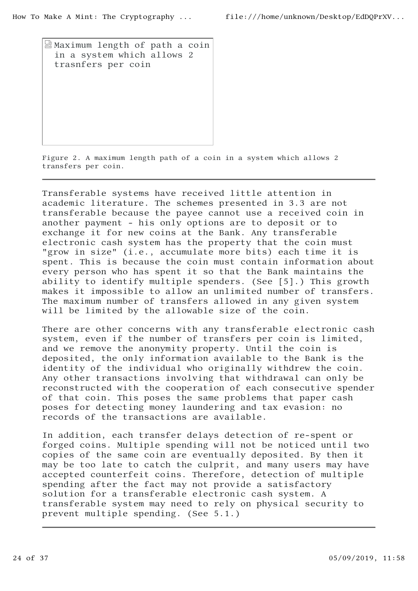Maximum length of path a coin in a system which allows 2 trasnfers per coin

Figure 2. A maximum length path of a coin in a system which allows 2 transfers per coin.

Transferable systems have received little attention in academic literature. The schemes presented in 3.3 are not transferable because the payee cannot use a received coin in another payment - his only options are to deposit or to exchange it for new coins at the Bank. Any transferable electronic cash system has the property that the coin must "grow in size" (i.e., accumulate more bits) each time it is spent. This is because the coin must contain information about every person who has spent it so that the Bank maintains the ability to identify multiple spenders. (See [5].) This growth makes it impossible to allow an unlimited number of transfers. The maximum number of transfers allowed in any given system will be limited by the allowable size of the coin.

There are other concerns with any transferable electronic cash system, even if the number of transfers per coin is limited, and we remove the anonymity property. Until the coin is deposited, the only information available to the Bank is the identity of the individual who originally withdrew the coin. Any other transactions involving that withdrawal can only be reconstructed with the cooperation of each consecutive spender of that coin. This poses the same problems that paper cash poses for detecting money laundering and tax evasion: no records of the transactions are available.

In addition, each transfer delays detection of re-spent or forged coins. Multiple spending will not be noticed until two copies of the same coin are eventually deposited. By then it may be too late to catch the culprit, and many users may have accepted counterfeit coins. Therefore, detection of multiple spending after the fact may not provide a satisfactory solution for a transferable electronic cash system. A transferable system may need to rely on physical security to prevent multiple spending. (See 5.1.)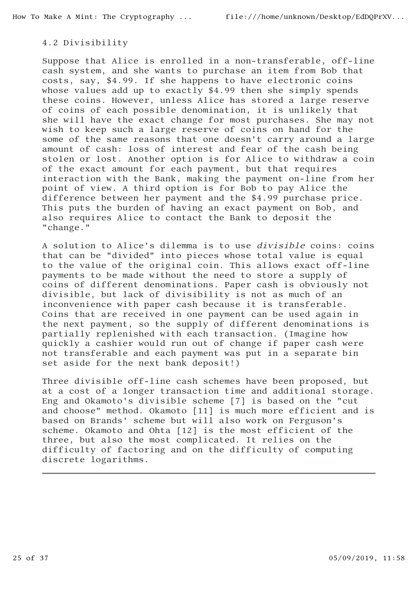### 4.2 Divisibility

Suppose that Alice is enrolled in a non-transferable, off-line cash system, and she wants to purchase an item from Bob that costs, say, \$4.99. If she happens to have electronic coins whose values add up to exactly \$4.99 then she simply spends these coins. However, unless Alice has stored a large reserve of coins of each possible denomination, it is unlikely that she will have the exact change for most purchases. She may not wish to keep such a large reserve of coins on hand for the some of the same reasons that one doesn't carry around a large amount of cash: loss of interest and fear of the cash being stolen or lost. Another option is for Alice to withdraw a coin of the exact amount for each payment, but that requires interaction with the Bank, making the payment on-line from her point of view. A third option is for Bob to pay Alice the difference between her payment and the \$4.99 purchase price. This puts the burden of having an exact payment on Bob, and also requires Alice to contact the Bank to deposit the "change."

A solution to Alice's dilemma is to use divisible coins: coins that can be "divided" into pieces whose total value is equal to the value of the original coin. This allows exact off-line payments to be made without the need to store a supply of coins of different denominations. Paper cash is obviously not divisible, but lack of divisibility is not as much of an inconvenience with paper cash because it is transferable. Coins that are received in one payment can be used again in the next payment, so the supply of different denominations is partially replenished with each transaction. (Imagine how quickly a cashier would run out of change if paper cash were not transferable and each payment was put in a separate bin set aside for the next bank deposit!)

Three divisible off-line cash schemes have been proposed, but at a cost of a longer transaction time and additional storage. Eng and Okamoto's divisible scheme [7] is based on the "cut and choose" method. Okamoto [11] is much more efficient and is based on Brands' scheme but will also work on Ferguson's scheme. Okamoto and Ohta [12] is the most efficient of the three, but also the most complicated. It relies on the difficulty of factoring and on the difficulty of computing discrete logarithms.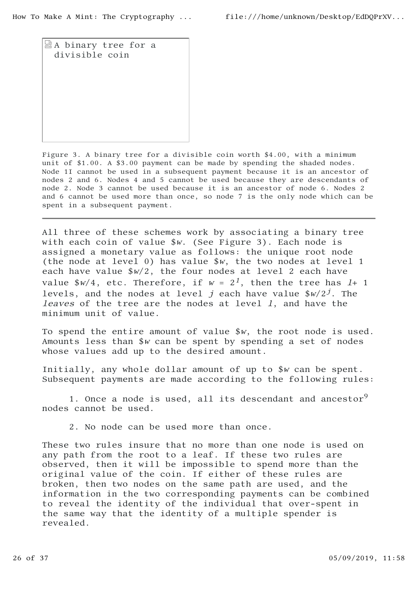A binary tree for a divisible coin

Figure 3. A binary tree for a divisible coin worth \$4.00, with a minimum unit of \$1.00. A \$3.00 payment can be made by spending the shaded nodes. Node 1I cannot be used in a subsequent payment because it is an ancestor of nodes 2 and 6. Nodes 4 and 5 cannot be used because they are descendants of node 2. Node 3 cannot be used because it is an ancestor of node 6. Nodes 2 and 6 cannot be used more than once, so node 7 is the only node which can be spent in a subsequent payment.

All three of these schemes work by associating a binary tree with each coin of value \$w. (See Figure 3). Each node is assigned a monetary value as follows: the unique root node (the node at level 0) has value \$w, the two nodes at level 1 each have value  $\frac{6}{x^2}$ , the four nodes at level 2 each have value  $\frac{w}{4}$ , etc. Therefore, if  $w = 2<sup>1</sup>$ , then the tree has  $1+1$ levels, and the nodes at level j each have value  $\frac{w}{2}$ . The leaves of the tree are the nodes at level 1, and have the minimum unit of value.

To spend the entire amount of value \$w, the root node is used. Amounts less than \$w can be spent by spending a set of nodes whose values add up to the desired amount.

Initially, any whole dollar amount of up to \$w can be spent. Subsequent payments are made according to the following rules:

1. Once a node is used, all its descendant and ancestor<sup>9</sup> nodes cannot be used.

2. No node can be used more than once.

These two rules insure that no more than one node is used on any path from the root to a leaf. If these two rules are observed, then it will be impossible to spend more than the original value of the coin. If either of these rules are broken, then two nodes on the same path are used, and the information in the two corresponding payments can be combined to reveal the identity of the individual that over-spent in the same way that the identity of a multiple spender is revealed.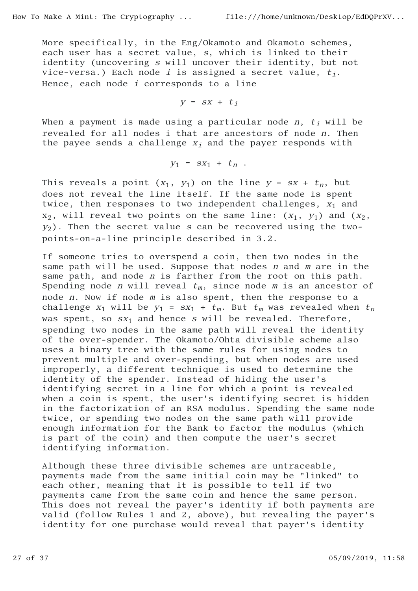More specifically, in the Eng/Okamoto and Okamoto schemes, each user has a secret value, s, which is linked to their identity (uncovering s will uncover their identity, but not vice-versa.) Each node *i* is assigned a secret value,  $t_i$ . Hence, each node  $i$  corresponds to a line

$$
y = sx + t_i
$$

When a payment is made using a particular node n,  $t_i$  will be revealed for all nodes i that are ancestors of node n. Then the payee sends a challenge  $x_i$  and the payer responds with

$$
y_1 = sx_1 + t_n .
$$

This reveals a point  $(x_1, y_1)$  on the line  $y = sx + t_n$ , but does not reveal the line itself. If the same node is spent twice, then responses to two independent challenges,  $x_1$  and  $x_2$ , will reveal two points on the same line:  $(x_1, y_1)$  and  $(x_2, y_2)$  $y_2$ ). Then the secret value s can be recovered using the twopoints-on-a-line principle described in 3.2.

If someone tries to overspend a coin, then two nodes in the same path will be used. Suppose that nodes n and m are in the same path, and node *n* is farther from the root on this path. Spending node *n* will reveal  $t_m$ , since node *m* is an ancestor of node n. Now if node m is also spent, then the response to a challenge  $x_1$  will be  $y_1 = sx_1 + t_m$ . But  $t_m$  was revealed when  $t_n$ was spent, so  $sx_1$  and hence s will be revealed. Therefore, spending two nodes in the same path will reveal the identity of the over-spender. The Okamoto/Ohta divisible scheme also uses a binary tree with the same rules for using nodes to prevent multiple and over-spending, but when nodes are used improperly, a different technique is used to determine the identity of the spender. Instead of hiding the user's identifying secret in a line for which a point is revealed when a coin is spent, the user's identifying secret is hidden in the factorization of an RSA modulus. Spending the same node twice, or spending two nodes on the same path will provide enough information for the Bank to factor the modulus (which is part of the coin) and then compute the user's secret identifying information.

Although these three divisible schemes are untraceable, payments made from the same initial coin may be "linked" to each other, meaning that it is possible to tell if two payments came from the same coin and hence the same person. This does not reveal the payer's identity if both payments are valid (follow Rules 1 and 2, above), but revealing the payer's identity for one purchase would reveal that payer's identity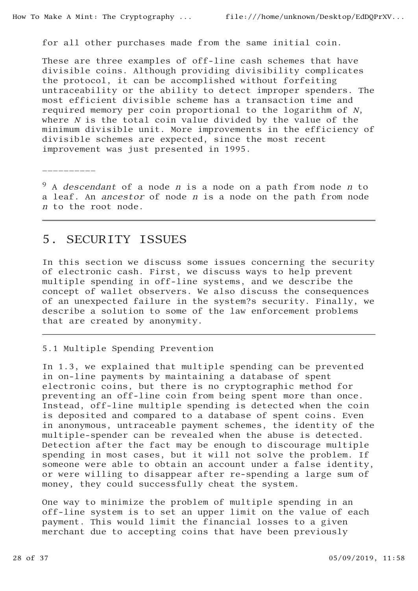for all other purchases made from the same initial coin.

These are three examples of off-line cash schemes that have divisible coins. Although providing divisibility complicates the protocol, it can be accomplished without forfeiting untraceability or the ability to detect improper spenders. The most efficient divisible scheme has a transaction time and required memory per coin proportional to the logarithm of N, where N is the total coin value divided by the value of the minimum divisible unit. More improvements in the efficiency of divisible schemes are expected, since the most recent improvement was just presented in 1995.

 $\frac{1}{2}$  \_ \_ \_ \_ \_ \_ \_ \_ \_ \_ \_

 $9A$  descendant of a node n is a node on a path from node n to a leaf. An ancestor of node n is a node on the path from node <sup>n</sup> to the root node.

## 5. SECURITY ISSUES

In this section we discuss some issues concerning the security of electronic cash. First, we discuss ways to help prevent multiple spending in off-line systems, and we describe the concept of wallet observers. We also discuss the consequences of an unexpected failure in the system?s security. Finally, we describe a solution to some of the law enforcement problems that are created by anonymity.

### 5.1 Multiple Spending Prevention

In 1.3, we explained that multiple spending can be prevented in on-line payments by maintaining a database of spent electronic coins, but there is no cryptographic method for preventing an off-line coin from being spent more than once. Instead, off-line multiple spending is detected when the coin is deposited and compared to a database of spent coins. Even in anonymous, untraceable payment schemes, the identity of the multiple-spender can be revealed when the abuse is detected. Detection after the fact may be enough to discourage multiple spending in most cases, but it will not solve the problem. If someone were able to obtain an account under a false identity, or were willing to disappear after re-spending a large sum of money, they could successfully cheat the system.

One way to minimize the problem of multiple spending in an off-line system is to set an upper limit on the value of each payment. This would limit the financial losses to a given merchant due to accepting coins that have been previously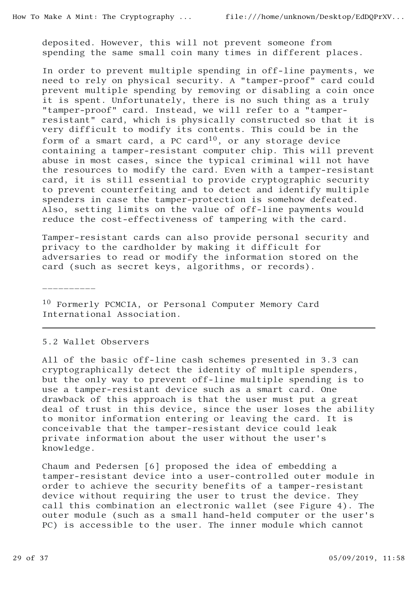deposited. However, this will not prevent someone from spending the same small coin many times in different places.

In order to prevent multiple spending in off-line payments, we need to rely on physical security. A "tamper-proof" card could prevent multiple spending by removing or disabling a coin once it is spent. Unfortunately, there is no such thing as a truly "tamper-proof" card. Instead, we will refer to a "tamperresistant" card, which is physically constructed so that it is very difficult to modify its contents. This could be in the form of a smart card, a PC card<sup>10</sup>, or any storage device containing a tamper-resistant computer chip. This will prevent abuse in most cases, since the typical criminal will not have the resources to modify the card. Even with a tamper-resistant card, it is still essential to provide cryptographic security to prevent counterfeiting and to detect and identify multiple spenders in case the tamper-protection is somehow defeated. Also, setting limits on the value of off-line payments would reduce the cost-effectiveness of tampering with the card.

Tamper-resistant cards can also provide personal security and privacy to the cardholder by making it difficult for adversaries to read or modify the information stored on the card (such as secret keys, algorithms, or records).

\_\_\_\_\_\_\_\_\_\_

<sup>10</sup> Formerly PCMCIA, or Personal Computer Memory Card International Association.

#### 5.2 Wallet Observers

All of the basic off-line cash schemes presented in 3.3 can cryptographically detect the identity of multiple spenders, but the only way to prevent off-line multiple spending is to use a tamper-resistant device such as a smart card. One drawback of this approach is that the user must put a great deal of trust in this device, since the user loses the ability to monitor information entering or leaving the card. It is conceivable that the tamper-resistant device could leak private information about the user without the user's knowledge.

Chaum and Pedersen [6] proposed the idea of embedding a tamper-resistant device into a user-controlled outer module in order to achieve the security benefits of a tamper-resistant device without requiring the user to trust the device. They call this combination an electronic wallet (see Figure 4). The outer module (such as a small hand-held computer or the user's PC) is accessible to the user. The inner module which cannot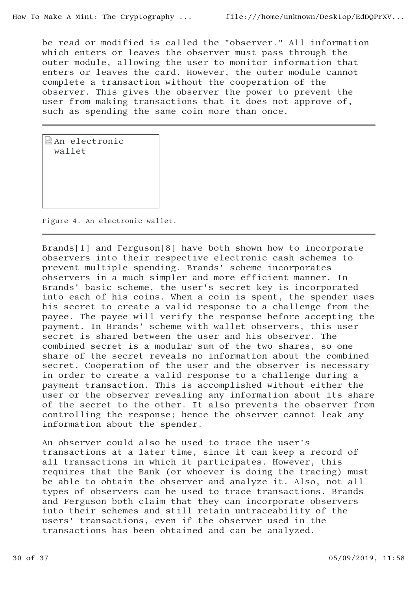be read or modified is called the "observer." All information which enters or leaves the observer must pass through the outer module, allowing the user to monitor information that enters or leaves the card. However, the outer module cannot complete a transaction without the cooperation of the observer. This gives the observer the power to prevent the user from making transactions that it does not approve of, such as spending the same coin more than once.

An electronic wallet

Figure 4. An electronic wallet.

Brands[1] and Ferguson[8] have both shown how to incorporate observers into their respective electronic cash schemes to prevent multiple spending. Brands' scheme incorporates observers in a much simpler and more efficient manner. In Brands' basic scheme, the user's secret key is incorporated into each of his coins. When a coin is spent, the spender uses his secret to create a valid response to a challenge from the payee. The payee will verify the response before accepting the payment. In Brands' scheme with wallet observers, this user secret is shared between the user and his observer. The combined secret is a modular sum of the two shares, so one share of the secret reveals no information about the combined secret. Cooperation of the user and the observer is necessary in order to create a valid response to a challenge during a payment transaction. This is accomplished without either the user or the observer revealing any information about its share of the secret to the other. It also prevents the observer from controlling the response; hence the observer cannot leak any information about the spender.

An observer could also be used to trace the user's transactions at a later time, since it can keep a record of all transactions in which it participates. However, this requires that the Bank (or whoever is doing the tracing) must be able to obtain the observer and analyze it. Also, not all types of observers can be used to trace transactions. Brands and Ferguson both claim that they can incorporate observers into their schemes and still retain untraceability of the users' transactions, even if the observer used in the transactions has been obtained and can be analyzed.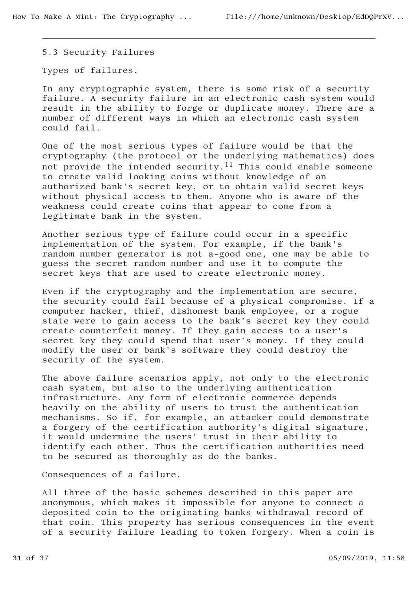5.3 Security Failures

Types of failures.

In any cryptographic system, there is some risk of a security failure. A security failure in an electronic cash system would result in the ability to forge or duplicate money. There are a number of different ways in which an electronic cash system could fail.

One of the most serious types of failure would be that the cryptography (the protocol or the underlying mathematics) does not provide the intended security.<sup>11</sup> This could enable someone to create valid looking coins without knowledge of an authorized bank's secret key, or to obtain valid secret keys without physical access to them. Anyone who is aware of the weakness could create coins that appear to come from a legitimate bank in the system.

Another serious type of failure could occur in a specific implementation of the system. For example, if the bank's random number generator is not a-good one, one may be able to guess the secret random number and use it to compute the secret keys that are used to create electronic money.

Even if the cryptography and the implementation are secure, the security could fail because of a physical compromise. If a computer hacker, thief, dishonest bank employee, or a rogue state were to gain access to the bank's secret key they could create counterfeit money. If they gain access to a user's secret key they could spend that user's money. If they could modify the user or bank's software they could destroy the security of the system.

The above failure scenarios apply, not only to the electronic cash system, but also to the underlying authentication infrastructure. Any form of electronic commerce depends heavily on the ability of users to trust the authentication mechanisms. So if, for example, an attacker could demonstrate a forgery of the certification authority's digital signature, it would undermine the users' trust in their ability to identify each other. Thus the certification authorities need to be secured as thoroughly as do the banks.

Consequences of a failure.

All three of the basic schemes described in this paper are anonymous, which makes it impossible for anyone to connect a deposited coin to the originating banks withdrawal record of that coin. This property has serious consequences in the event of a security failure leading to token forgery. When a coin is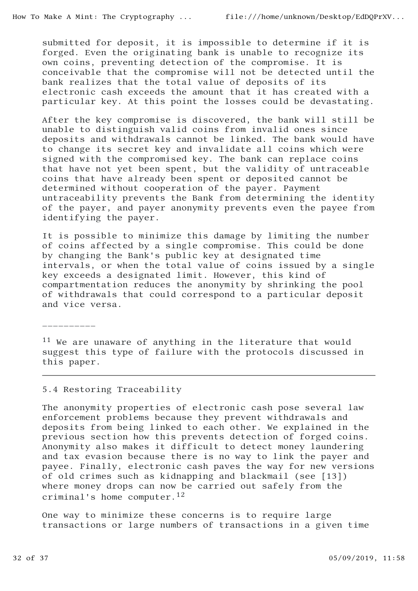submitted for deposit, it is impossible to determine if it is forged. Even the originating bank is unable to recognize its own coins, preventing detection of the compromise. It is conceivable that the compromise will not be detected until the bank realizes that the total value of deposits of its electronic cash exceeds the amount that it has created with a particular key. At this point the losses could be devastating.

After the key compromise is discovered, the bank will still be unable to distinguish valid coins from invalid ones since deposits and withdrawals cannot be linked. The bank would have to change its secret key and invalidate all coins which were signed with the compromised key. The bank can replace coins that have not yet been spent, but the validity of untraceable coins that have already been spent or deposited cannot be determined without cooperation of the payer. Payment untraceability prevents the Bank from determining the identity of the payer, and payer anonymity prevents even the payee from identifying the payer.

It is possible to minimize this damage by limiting the number of coins affected by a single compromise. This could be done by changing the Bank's public key at designated time intervals, or when the total value of coins issued by a single key exceeds a designated limit. However, this kind of compartmentation reduces the anonymity by shrinking the pool of withdrawals that could correspond to a particular deposit and vice versa.

<sup>11</sup> We are unaware of anything in the literature that would suggest this type of failure with the protocols discussed in this paper.

#### 5.4 Restoring Traceability

 $\_$   $\_$   $\_$   $\_$   $\_$   $\_$   $\_$ 

The anonymity properties of electronic cash pose several law enforcement problems because they prevent withdrawals and deposits from being linked to each other. We explained in the previous section how this prevents detection of forged coins. Anonymity also makes it difficult to detect money laundering and tax evasion because there is no way to link the payer and payee. Finally, electronic cash paves the way for new versions of old crimes such as kidnapping and blackmail (see [13]) where money drops can now be carried out safely from the criminal's home computer.12

One way to minimize these concerns is to require large transactions or large numbers of transactions in a given time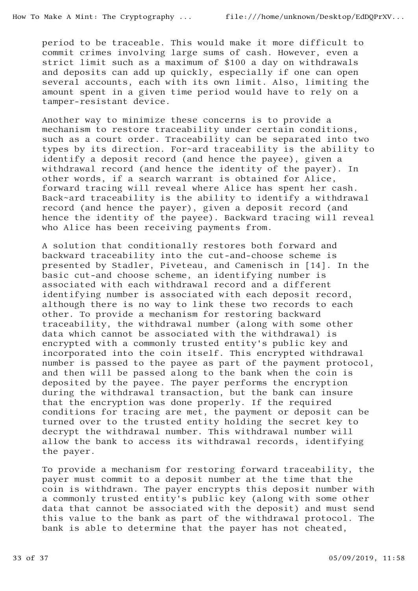period to be traceable. This would make it more difficult to commit crimes involving large sums of cash. However, even a strict limit such as a maximum of \$100 a day on withdrawals and deposits can add up quickly, especially if one can open several accounts, each with its own limit. Also, limiting the amount spent in a given time period would have to rely on a tamper-resistant device.

Another way to minimize these concerns is to provide a mechanism to restore traceability under certain conditions, such as a court order. Traceability can be separated into two types by its direction. For~ard traceability is the ability to identify a deposit record (and hence the payee), given a withdrawal record (and hence the identity of the payer). In other words, if a search warrant is obtained for Alice, forward tracing will reveal where Alice has spent her cash. Back~ard traceability is the ability to identify a withdrawal record (and hence the payer), given a deposit record (and hence the identity of the payee). Backward tracing will reveal who Alice has been receiving payments from.

A solution that conditionally restores both forward and backward traceability into the cut-and-choose scheme is presented by Stadler, Piveteau, and Camenisch in [14]. In the basic cut-and choose scheme, an identifying number is associated with each withdrawal record and a different identifying number is associated with each deposit record, although there is no way to link these two records to each other. To provide a mechanism for restoring backward traceability, the withdrawal number (along with some other data which cannot be associated with the withdrawal) is encrypted with a commonly trusted entity's public key and incorporated into the coin itself. This encrypted withdrawal number is passed to the payee as part of the payment protocol, and then will be passed along to the bank when the coin is deposited by the payee. The payer performs the encryption during the withdrawal transaction, but the bank can insure that the encryption was done properly. If the required conditions for tracing are met, the payment or deposit can be turned over to the trusted entity holding the secret key to decrypt the withdrawal number. This withdrawal number will allow the bank to access its withdrawal records, identifying the payer.

To provide a mechanism for restoring forward traceability, the payer must commit to a deposit number at the time that the coin is withdrawn. The payer encrypts this deposit number with a commonly trusted entity's public key (along with some other data that cannot be associated with the deposit) and must send this value to the bank as part of the withdrawal protocol. The bank is able to determine that the payer has not cheated,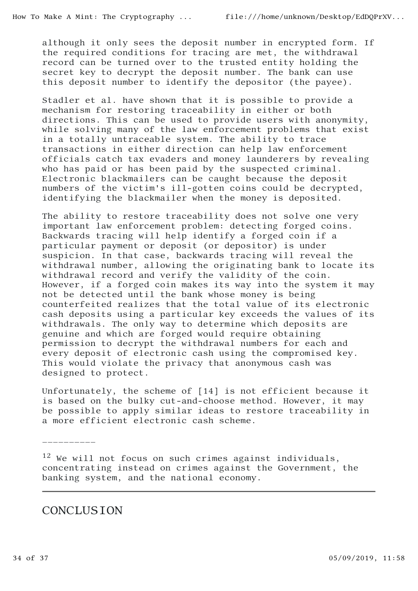although it only sees the deposit number in encrypted form. If the required conditions for tracing are met, the withdrawal record can be turned over to the trusted entity holding the secret key to decrypt the deposit number. The bank can use this deposit number to identify the depositor (the payee).

Stadler et al. have shown that it is possible to provide a mechanism for restoring traceability in either or both directions. This can be used to provide users with anonymity, while solving many of the law enforcement problems that exist in a totally untraceable system. The ability to trace transactions in either direction can help law enforcement officials catch tax evaders and money launderers by revealing who has paid or has been paid by the suspected criminal. Electronic blackmailers can be caught because the deposit numbers of the victim's ill-gotten coins could be decrypted, identifying the blackmailer when the money is deposited.

The ability to restore traceability does not solve one very important law enforcement problem: detecting forged coins. Backwards tracing will help identify a forged coin if a particular payment or deposit (or depositor) is under suspicion. In that case, backwards tracing will reveal the withdrawal number, allowing the originating bank to locate its withdrawal record and verify the validity of the coin. However, if a forged coin makes its way into the system it may not be detected until the bank whose money is being counterfeited realizes that the total value of its electronic cash deposits using a particular key exceeds the values of its withdrawals. The only way to determine which deposits are genuine and which are forged would require obtaining permission to decrypt the withdrawal numbers for each and every deposit of electronic cash using the compromised key. This would violate the privacy that anonymous cash was designed to protect.

Unfortunately, the scheme of [14] is not efficient because it is based on the bulky cut-and-choose method. However, it may be possible to apply similar ideas to restore traceability in a more efficient electronic cash scheme.

 $12$  We will not focus on such crimes against individuals, concentrating instead on crimes against the Government, the banking system, and the national economy.

# **CONCLUSION**

\_\_\_\_\_\_\_\_\_\_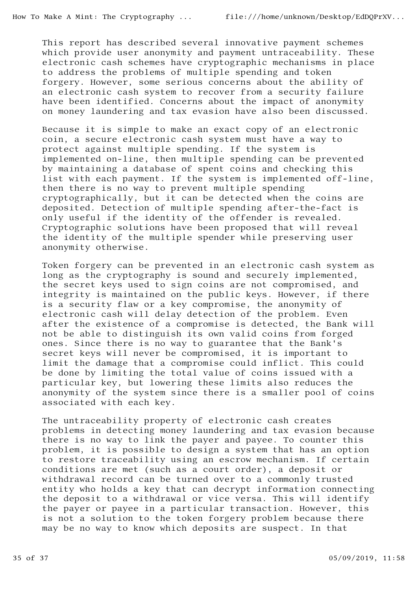This report has described several innovative payment schemes which provide user anonymity and payment untraceability. These electronic cash schemes have cryptographic mechanisms in place to address the problems of multiple spending and token forgery. However, some serious concerns about the ability of an electronic cash system to recover from a security failure have been identified. Concerns about the impact of anonymity on money laundering and tax evasion have also been discussed.

Because it is simple to make an exact copy of an electronic coin, a secure electronic cash system must have a way to protect against multiple spending. If the system is implemented on-line, then multiple spending can be prevented by maintaining a database of spent coins and checking this list with each payment. If the system is implemented off-line, then there is no way to prevent multiple spending cryptographically, but it can be detected when the coins are deposited. Detection of multiple spending after-the-fact is only useful if the identity of the offender is revealed. Cryptographic solutions have been proposed that will reveal the identity of the multiple spender while preserving user anonymity otherwise.

Token forgery can be prevented in an electronic cash system as long as the cryptography is sound and securely implemented, the secret keys used to sign coins are not compromised, and integrity is maintained on the public keys. However, if there is a security flaw or a key compromise, the anonymity of electronic cash will delay detection of the problem. Even after the existence of a compromise is detected, the Bank will not be able to distinguish its own valid coins from forged ones. Since there is no way to guarantee that the Bank's secret keys will never be compromised, it is important to limit the damage that a compromise could inflict. This could be done by limiting the total value of coins issued with a particular key, but lowering these limits also reduces the anonymity of the system since there is a smaller pool of coins associated with each key.

The untraceability property of electronic cash creates problems in detecting money laundering and tax evasion because there is no way to link the payer and payee. To counter this problem, it is possible to design a system that has an option to restore traceability using an escrow mechanism. If certain conditions are met (such as a court order), a deposit or withdrawal record can be turned over to a commonly trusted entity who holds a key that can decrypt information connecting the deposit to a withdrawal or vice versa. This will identify the payer or payee in a particular transaction. However, this is not a solution to the token forgery problem because there may be no way to know which deposits are suspect. In that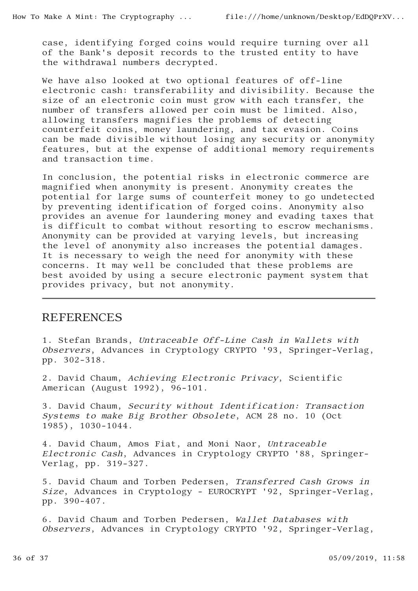case, identifying forged coins would require turning over all of the Bank's deposit records to the trusted entity to have the withdrawal numbers decrypted.

We have also looked at two optional features of off-line electronic cash: transferability and divisibility. Because the size of an electronic coin must grow with each transfer, the number of transfers allowed per coin must be limited. Also, allowing transfers magnifies the problems of detecting counterfeit coins, money laundering, and tax evasion. Coins can be made divisible without losing any security or anonymity features, but at the expense of additional memory requirements and transaction time.

In conclusion, the potential risks in electronic commerce are magnified when anonymity is present. Anonymity creates the potential for large sums of counterfeit money to go undetected by preventing identification of forged coins. Anonymity also provides an avenue for laundering money and evading taxes that is difficult to combat without resorting to escrow mechanisms. Anonymity can be provided at varying levels, but increasing the level of anonymity also increases the potential damages. It is necessary to weigh the need for anonymity with these concerns. It may well be concluded that these problems are best avoided by using a secure electronic payment system that provides privacy, but not anonymity.

# REFERENCES

1. Stefan Brands, Untraceable Off-Line Cash in Wallets with Observers, Advances in Cryptology CRYPTO '93, Springer-Verlag, pp. 302-318.

2. David Chaum, Achieving Electronic Privacy, Scientific American (August 1992), 96-101.

3. David Chaum, Security without Identification: Transaction Systems to make Big Brother Obsolete, ACM 28 no. 10 (Oct 1985), 1030-1044.

4. David Chaum, Amos Fiat, and Moni Naor, Untraceable Electronic Cash, Advances in Cryptology CRYPTO '88, Springer-Verlag, pp. 319-327.

5. David Chaum and Torben Pedersen, Transferred Cash Grows in Size, Advances in Cryptology - EUROCRYPT '92, Springer-Verlag, pp. 390-407.

6. David Chaum and Torben Pedersen, Wallet Databases with Observers, Advances in Cryptology CRYPTO '92, Springer-Verlag,